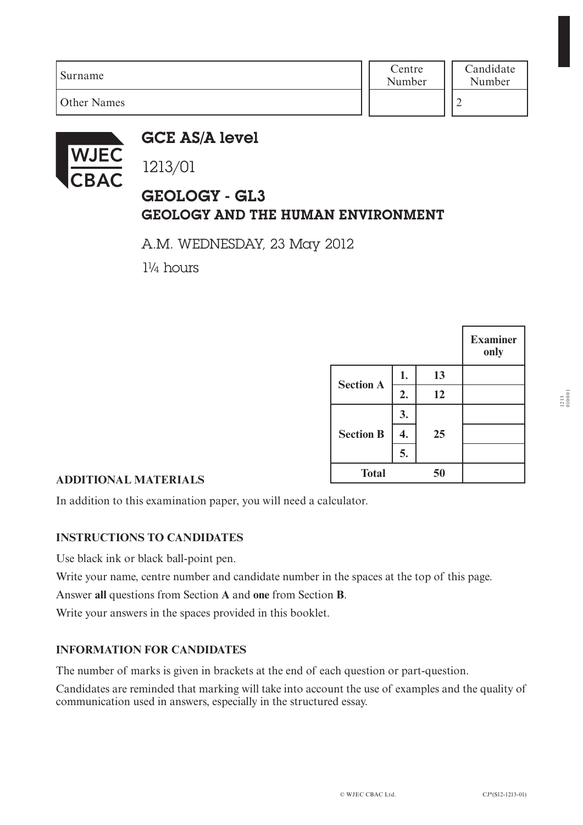Surname

Centre Number

2

Candidate Number

Other Names



# GCE AS/A level

1213/01

# GEOLOGY - GL3 GEOLOGY AND THE HUMAN ENVIRONMENT

A.M. WEDNESDAY, 23 May 2012

1¼ hours

|                  |    |    | <b>Examiner</b><br>only |
|------------------|----|----|-------------------------|
| <b>Section A</b> | 1. | 13 |                         |
|                  | 2. | 12 |                         |
| <b>Section B</b> | 3. |    |                         |
|                  | 4. | 25 |                         |
|                  | 5. |    |                         |
| <b>Total</b>     |    | 50 |                         |

# **ADDITIONAL MATERIALS**

In addition to this examination paper, you will need a calculator.

## **INSTRUCTIONS TO CANDIDATES**

Use black ink or black ball-point pen.

Write your name, centre number and candidate number in the spaces at the top of this page.

Answer **all** questions from Section **A** and **one** from Section **B**.

Write your answers in the spaces provided in this booklet.

# **INFORMATION FOR CANDIDATES**

The number of marks is given in brackets at the end of each question or part-question.

Candidates are reminded that marking will take into account the use of examples and the quality of communication used in answers, especially in the structured essay.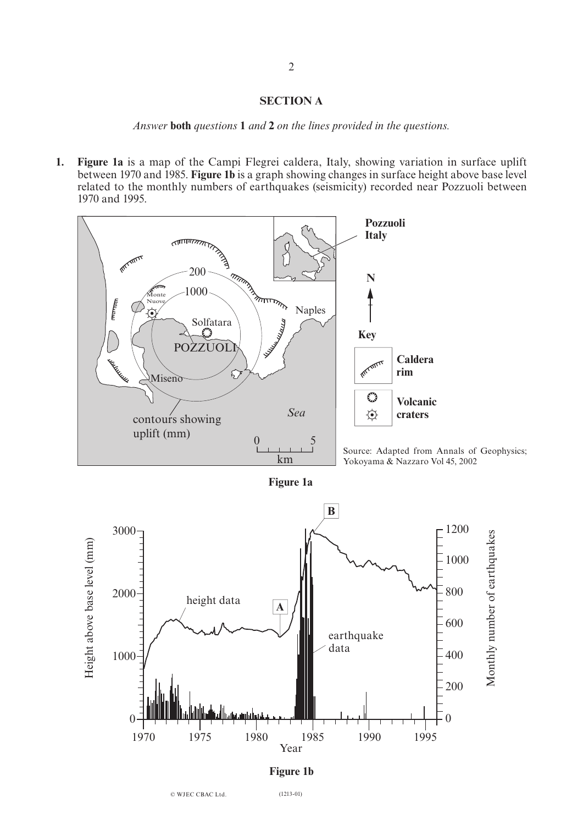### **SECTION A**

2

### *Answer* **both** *questions* **1** *and* **2** *on the lines provided in the questions.*

**1. Figure 1a** is a map of the Campi Flegrei caldera, Italy, showing variation in surface uplift between 1970 and 1985. **Figure 1b** is a graph showing changes in surface height above base level related to the monthly numbers of earthquakes (seismicity) recorded near Pozzuoli between 1970 and 1995.



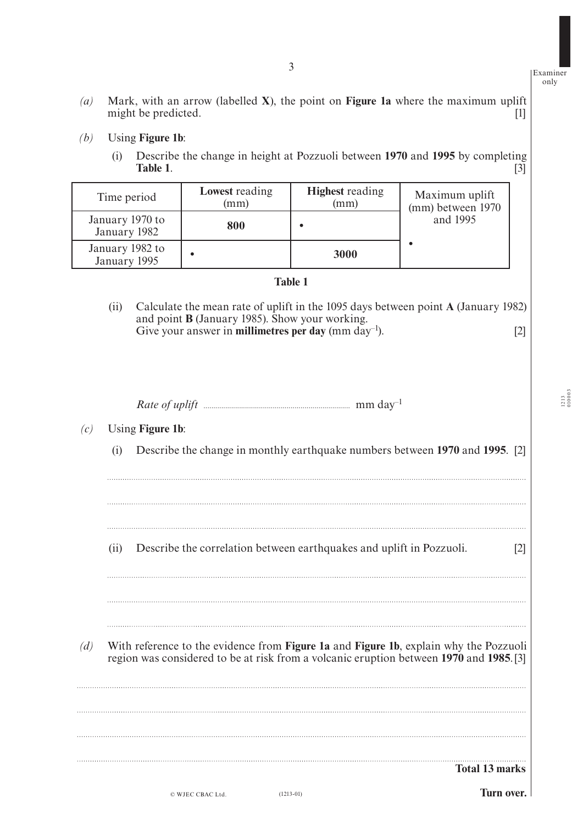3 Examiner only

*(a)* Mark, with an arrow (labelled **X**), the point on **Figure 1a** where the maximum uplift might be predicted.

### *(b)* Using **Figure 1b**:

(i) Describe the change in height at Pozzuoli between **1970** and **1995** by completing **Table 1**. [3]

| Time period                     | <b>Lowest</b> reading<br>(mm) | <b>Highest</b> reading<br>(mm) | Maximum uplift<br>(mm) between 1970 |
|---------------------------------|-------------------------------|--------------------------------|-------------------------------------|
| January 1970 to<br>January 1982 | 800                           |                                | and 1995                            |
| January 1982 to<br>January 1995 |                               | 3000                           |                                     |

### **Table 1**

(ii) Calculate the mean rate of uplift in the 1095 days between point **A** (January 1982) and point **B** (January 1985). Show your working. Give your answer in **millimetres per day** (mm day<sup>-1</sup>). [2]

| Rate of uplift |  | $mm \, \text{day}^{-}$ |
|----------------|--|------------------------|
|----------------|--|------------------------|

# *(c)* Using **Figure 1b**: (i) Describe the change in monthly earthquake numbers between **1970** and **1995**. [2] (ii) Describe the correlation between earthquakes and uplift in Pozzuoli. [2] *(d)* With reference to the evidence from **Figure 1a** and **Figure 1b**, explain why the Pozzuoli region was considered to be at risk from a volcanic eruption between **1970** and **1985**.[3] **Total 13 marks**

**Turn over.**

1213 010003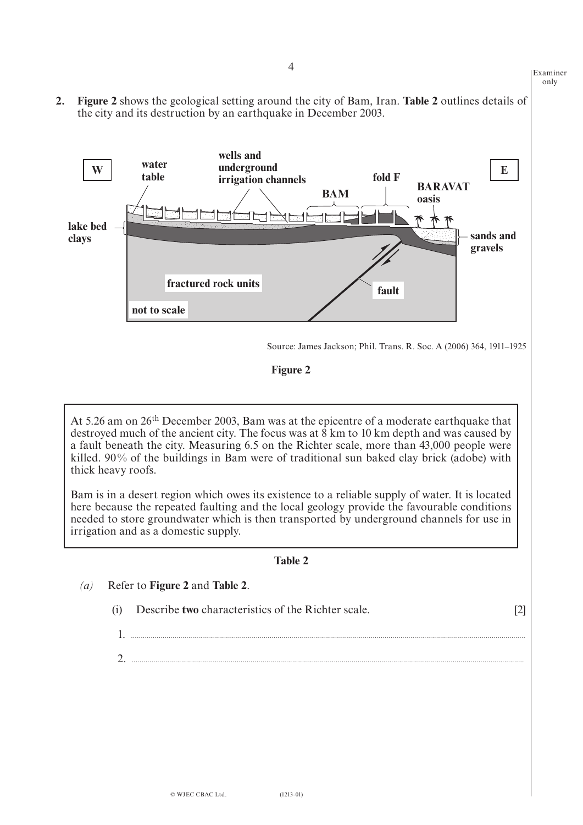**2. Figure 2** shows the geological setting around the city of Bam, Iran. **Table 2** outlines details of the city and its destruction by an earthquake in December 2003.

4

Examiner only



(1213-01)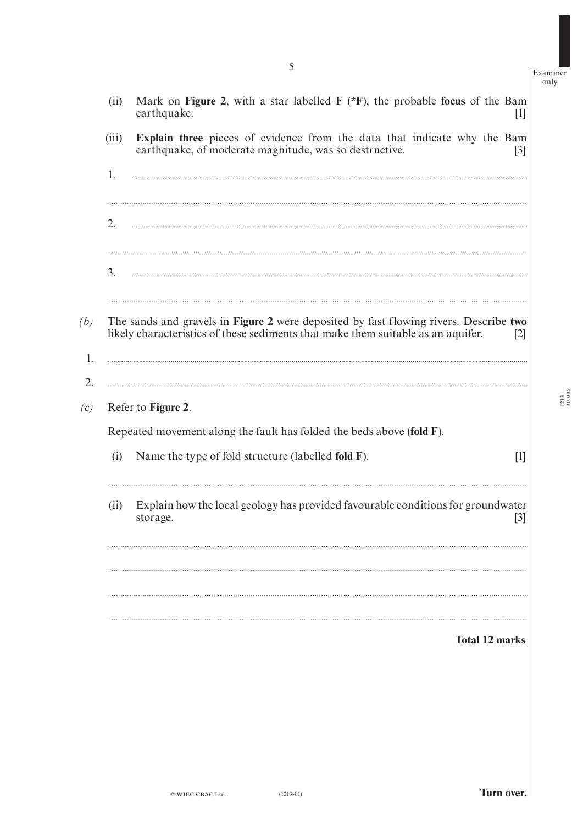5 Examiner only

(ii) Mark on **Figure 2**, with a star labelled **F** (**\*F**), the probable **focus** of the Bam

|           |       | earthquake.<br>$[1]$                                                                                                                                                      |
|-----------|-------|---------------------------------------------------------------------------------------------------------------------------------------------------------------------------|
|           | (iii) | Explain three pieces of evidence from the data that indicate why the Bam<br>earthquake, of moderate magnitude, was so destructive.                                        |
|           | 1.    |                                                                                                                                                                           |
|           | 2.    |                                                                                                                                                                           |
|           |       |                                                                                                                                                                           |
|           | 3.    |                                                                                                                                                                           |
| (b)<br>1. |       | The sands and gravels in Figure 2 were deposited by fast flowing rivers. Describe two<br>likely characteristics of these sediments that make them suitable as an aquifer. |
| 2.<br>(c) |       | Refer to Figure 2.                                                                                                                                                        |
|           |       | Repeated movement along the fault has folded the beds above (fold F).                                                                                                     |
|           | (i)   | Name the type of fold structure (labelled fold F).                                                                                                                        |
|           | (iii) |                                                                                                                                                                           |
|           |       | storage.                                                                                                                                                                  |
|           |       |                                                                                                                                                                           |
|           |       |                                                                                                                                                                           |
|           |       | Explain how the local geology has provided favourable conditions for groundwater<br><b>Total 12 marks</b>                                                                 |

1213 010005

© WJEC CBAC Ltd.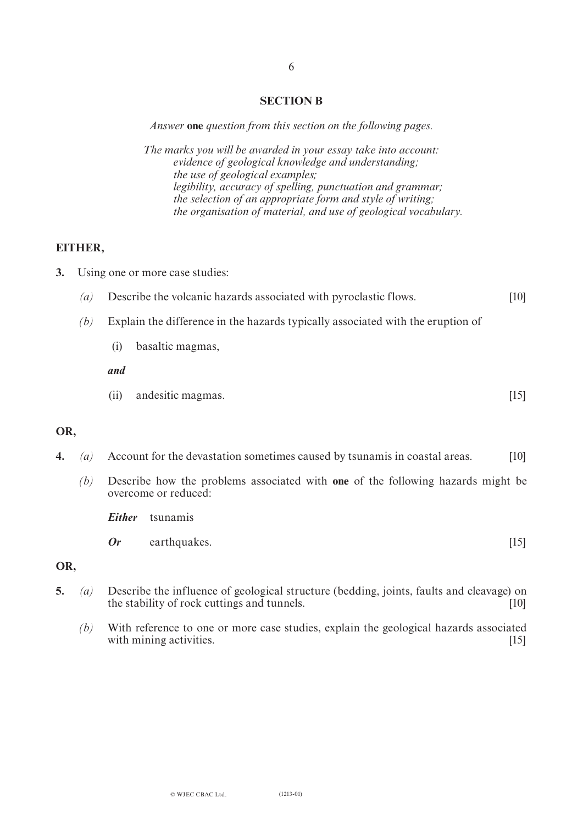### **SECTION B**

*Answer* **one** *question from this section on the following pages.*

*The marks you will be awarded in your essay take into account: evidence of geological knowledge and understanding; the use of geological examples; legibility, accuracy of spelling, punctuation and grammar; the selection of an appropriate form and style of writing; the organisation of material, and use of geological vocabulary.*

### **EITHER,**

- **3.** Using one or more case studies:
	- *(a)* Describe the volcanic hazards associated with pyroclastic flows. [10]
	- *(b)* Explain the difference in the hazards typically associated with the eruption of
		- (i) basaltic magmas,

 *and*

(ii) andesitic magmas. [15]

### **OR,**

- **4.** *(a)* Account for the devastation sometimes caused by tsunamis in coastal areas. [10]
	- *(b)* Describe how the problems associated with **one** of the following hazards might be overcome or reduced:

 *Either* tsunamis *Or* earthquakes. [15]

### **OR,**

- **5.** *(a)* Describe the influence of geological structure (bedding, joints, faults and cleavage) on the stability of rock cuttings and tunnels.
	- *(b)* With reference to one or more case studies, explain the geological hazards associated with mining activities.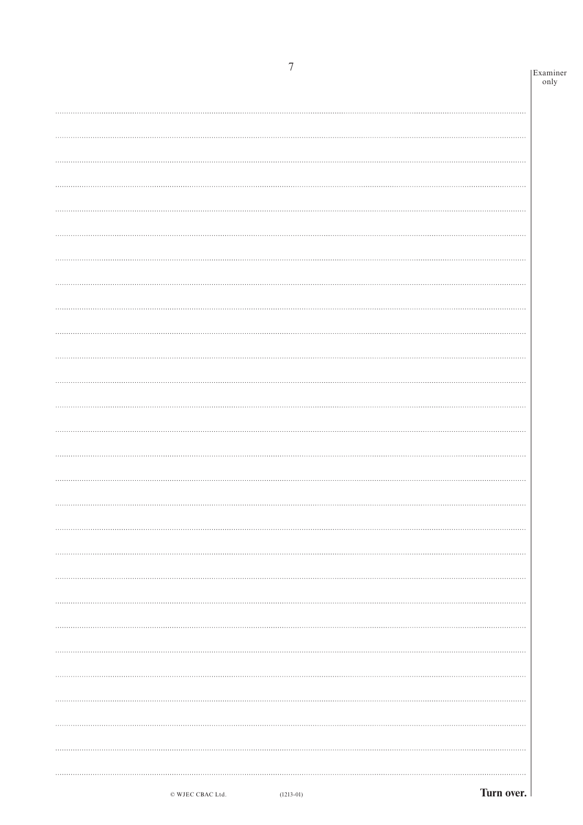#### Examiner only

7

| $\odot$ WJEC CBAC Ltd. | $(1213-01)$ | Turn over. |
|------------------------|-------------|------------|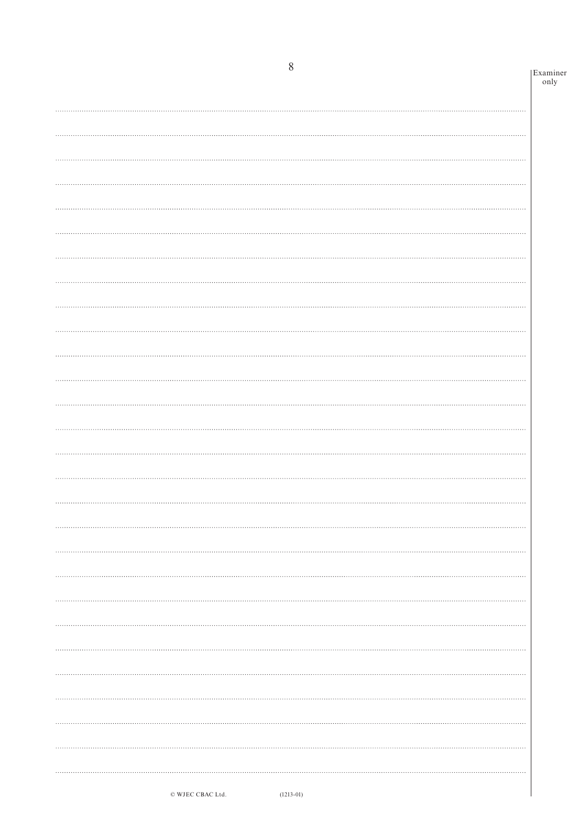### 8 Examiner Examiner<br>only

| .                                     |
|---------------------------------------|
|                                       |
|                                       |
|                                       |
| .                                     |
|                                       |
|                                       |
|                                       |
|                                       |
|                                       |
|                                       |
|                                       |
| $\odot$ WJEC CBAC Ltd.<br>$(1213-01)$ |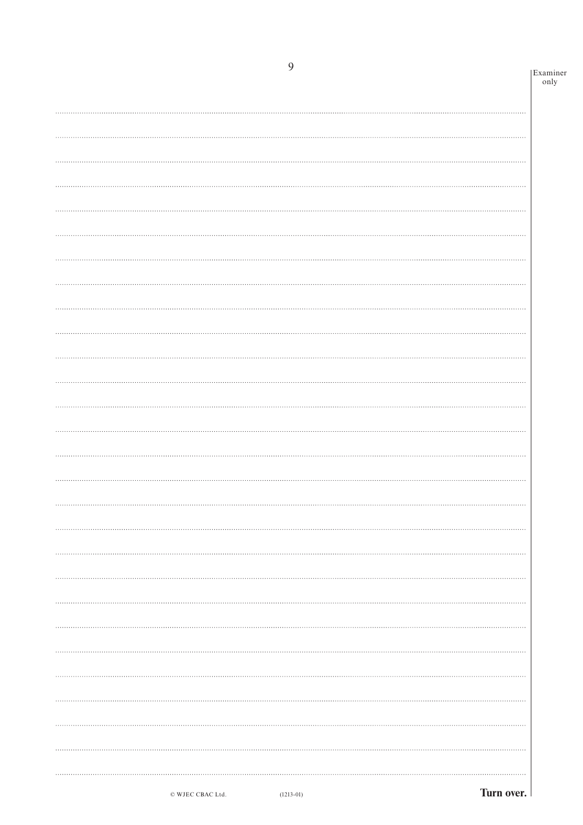| Examiner |
|----------|
| only     |
|          |